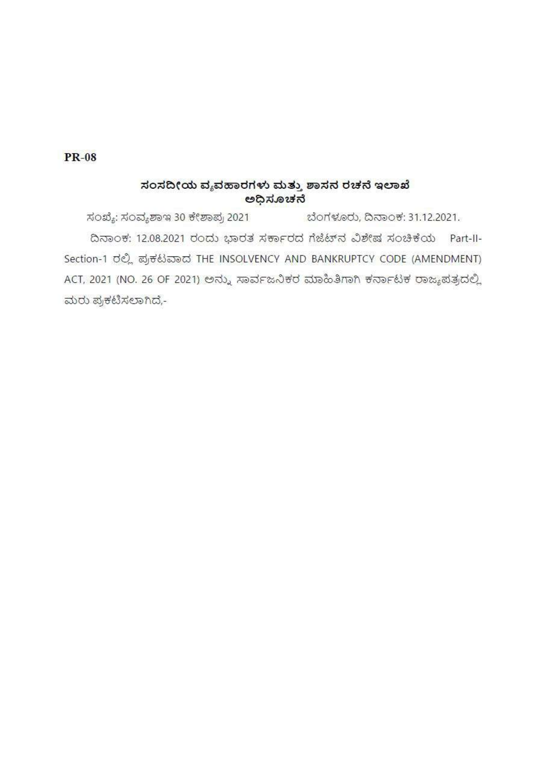## **PR-08**

# ಸಂಸದೀಯ ವ್ಯವಹಾರಗಳು ಮತ್ತು ಶಾಸನ ರಚನೆ ಇಲಾಖೆ ಅಧಿಸೂಚನೆ

ಸಂಖ್ಯೆ: ಸಂವ್ಯಶಾಇ 30 ಕೇಶಾಪ್ರ 2021 ಬೆಂಗಳೂರು, ದಿನಾಂಕ: 31.12.2021.

ದಿನಾಂಕ: 12.08.2021 ರಂದು ಭಾರತ ಸರ್ಕಾರದ ಗೆಜೆಟ್ ನವಿಶೇಷ ಸಂಚಿಕೆಯ Part-II-Section-1 ರಲ್ಲಿ ಪ್ರಕಟವಾದ THE INSOLVENCY AND BANKRUPTCY CODE (AMENDMENT) ACT, 2021 (NO. 26 OF 2021) ಅನ್ನು ಸಾರ್ವಜನಿಕರ ಮಾಹಿತಿಗಾಗಿ ಕರ್ನಾಟಕ ರಾಜ್ಯಪತ್ರದಲ್ಲಿ ಮರು ಪ್ರಕಟಿಸಲಾಗಿದೆ,-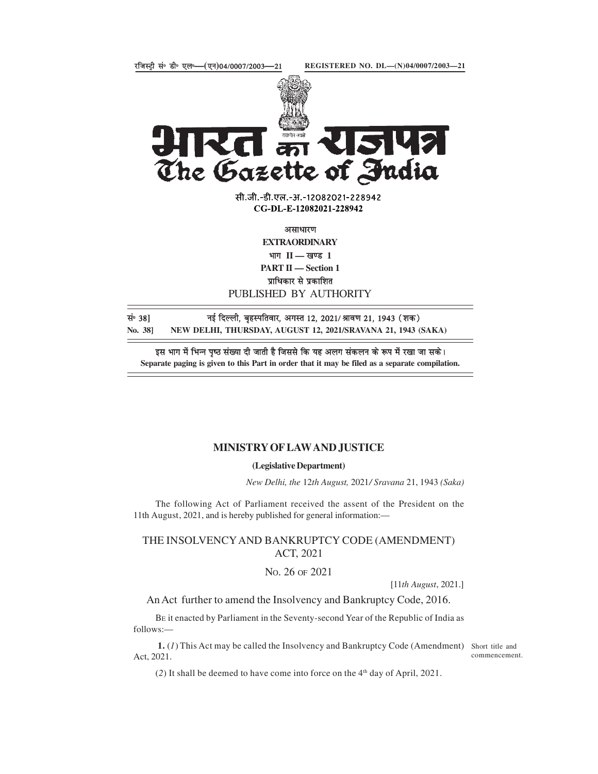

The Gazette of Funding<br>  $m.\pi.\pi.\rightarrow 1-12082021-228942$ <br>
CG-DL-E-12082021-228942<br>
EXTRAORDINARY<br>
EXTRAORDINARY<br>
FOR THE HISTORIC BY AUTHORITY<br>
FOR SAY II — Section 1<br>
FOR AUTHORITY<br>
FOR SAY THE BY AUTHORITY<br>
FOR SAY THE BY AU

सी.जी.-डी.एल.-अ.-12082021-228942 CG-DL-E-12082021-228942

**EXTRAORDINARY** भाग $\Pi$  - खण्ड 1

PART II - Section 1

## PUBLISHED BY AUTHORITY

सं॰ 38] तई दिल्ली, बृहस्पतिवार, अगस्त 12, 2021/ श्रावण 21, 1943 (शक)

Separate paging is given to this Part in order that it may be filed as a separate compilation.

### MINISTRY OF LAW AND JUSTICE

### (Legislative Department)

New Delhi, the 12th August, 2021/ Sravana 21, 1943 (Saka)

The following Act of Parliament received the assent of the President on the 11th August, 2021, and is hereby published for general information:—

THE INSOLVENCY AND BANKRUPTCY CODE (AMENDMENT) ACT, 2021

NO. 26 OF 2021

[11th August, 2021.]

An Act further to amend the Insolvency and Bankruptcy Code, 2016.

BE it enacted by Parliament in the Seventy-second Year of the Republic of India as follows:—

1. (1) This Act may be called the Insolvency and Bankruptcy Code (Amendment) Short title and Act, 2021.

commencement.

(2) It shall be deemed to have come into force on the  $4<sup>th</sup>$  day of April, 2021.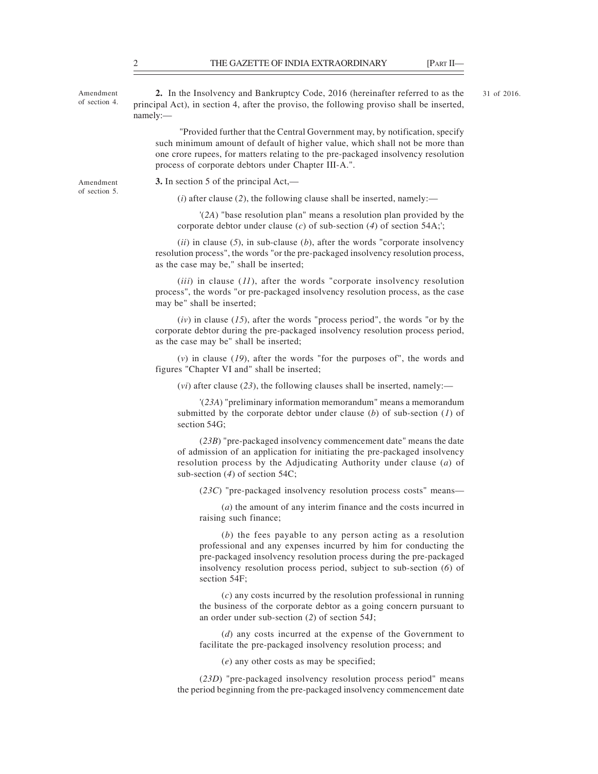31 of 2016.

THE GAZETTE OF INDIA EXTRAORDINARY [PART II—2. In the Insolvency and Bankruptcy Code, 2016 (hereinafter referred to as the principal Act), in section 4, after the proviso, the following proviso shall be inserted, namely:— Amendment 2. In the Insolvency and Bankruptcy Code, 2016 (hereinafter referred to as the 31 of 2016. of section 4. principal Act), in section 4, after the proviso, the following proviso shall be inserted, namely:—

 "Provided further that the Central Government may, by notification, specify such minimum amount of default of higher value, which shall not be more than one crore rupees, for matters relating to the pre-packaged insolvency resolution process of corporate debtors under Chapter III-A.".

of section 5.

Amendment 3. In section 5 of the principal Act,—

 $(i)$  after clause (2), the following clause shall be inserted, namely:—

'(2A) "base resolution plan" means a resolution plan provided by the corporate debtor under clause  $(c)$  of sub-section  $(4)$  of section 54A;';

 $(ii)$  in clause (5), in sub-clause (b), after the words "corporate insolvency resolution process", the words "or the pre-packaged insolvency resolution process, as the case may be," shall be inserted;

 $(iii)$  in clause  $(11)$ , after the words "corporate insolvency resolution process", the words "or pre-packaged insolvency resolution process, as the case may be" shall be inserted;

 $(iv)$  in clause (15), after the words "process period", the words "or by the corporate debtor during the pre-packaged insolvency resolution process period, as the case may be" shall be inserted;

 $(v)$  in clause (19), after the words "for the purposes of", the words and figures "Chapter VI and" shall be inserted;

 $(vi)$  after clause (23), the following clauses shall be inserted, namely:—

'(23A) "preliminary information memorandum" means a memorandum submitted by the corporate debtor under clause  $(b)$  of sub-section  $(I)$  of section 54G;

(23B) "pre-packaged insolvency commencement date" means the date of admission of an application for initiating the pre-packaged insolvency resolution process by the Adjudicating Authority under clause (a) of sub-section (4) of section 54C;

(23C) "pre-packaged insolvency resolution process costs" means—

(a) the amount of any interim finance and the costs incurred in raising such finance;

(b) the fees payable to any person acting as a resolution professional and any expenses incurred by him for conducting the pre-packaged insolvency resolution process during the pre-packaged insolvency resolution process period, subject to sub-section (6) of section 54F;

(c) any costs incurred by the resolution professional in running the business of the corporate debtor as a going concern pursuant to an order under sub-section (2) of section 54J;

(d) any costs incurred at the expense of the Government to facilitate the pre-packaged insolvency resolution process; and

(e) any other costs as may be specified;

(23D) "pre-packaged insolvency resolution process period" means the period beginning from the pre-packaged insolvency commencement date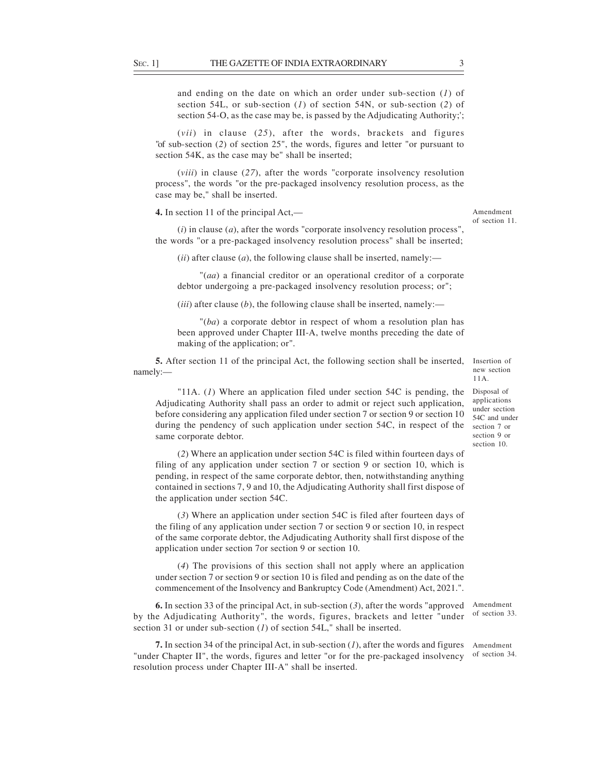SEC. 1] THE GAZETTE OF INDIA EXTRAORDINARY 3<br>
and ending on the date on which an order under sub-section (1) of<br>
section 54L, or sub-section (1) of section 54N, or sub-section (2) of<br>
section 54-O, as the case may be, is p and ending on the date on which an order under sub-section  $(I)$  of section 54L, or sub-section  $(I)$  of section 54N, or sub-section  $(2)$  of section 54-O, as the case may be, is passed by the Adjudicating Authority;';

(vii) in clause (25), after the words, brackets and figures "of sub-section (2) of section 25", the words, figures and letter "or pursuant to section 54K, as the case may be" shall be inserted;

(viii) in clause (27), after the words "corporate insolvency resolution process", the words "or the pre-packaged insolvency resolution process, as the case may be," shall be inserted.

4. In section 11 of the principal Act,—

 $(i)$  in clause  $(a)$ , after the words "corporate insolvency resolution process", the words "or a pre-packaged insolvency resolution process" shall be inserted;

(ii) after clause (*a*), the following clause shall be inserted, namely:—

"(aa) a financial creditor or an operational creditor of a corporate debtor undergoing a pre-packaged insolvency resolution process; or";

(*iii*) after clause (*b*), the following clause shall be inserted, namely:—

"(ba) a corporate debtor in respect of whom a resolution plan has been approved under Chapter III-A, twelve months preceding the date of making of the application; or".

5. After section 11 of the principal Act, the following section shall be inserted, namely:— when the contract of the contract of the contract of the contract of the contract of the contract of the contract of the contract of the contract of the contract of the contract of the contract of the contract of

"11A.  $(I)$  Where an application filed under section 54C is pending, the Adjudicating Authority shall pass an order to admit or reject such application, before considering any application filed under section 7 or section 9 or section 10 during the pendency of such application under section 54C, in respect of the same corporate debtor.

(2) Where an application under section 54C is filed within fourteen days of filing of any application under section 7 or section 9 or section 10, which is pending, in respect of the same corporate debtor, then, notwithstanding anything contained in sections 7, 9 and 10, the Adjudicating Authority shall first dispose of the application under section 54C.

(3) Where an application under section 54C is filed after fourteen days of the filing of any application under section 7 or section 9 or section 10, in respect of the same corporate debtor, the Adjudicating Authority shall first dispose of the application under section 7or section 9 or section 10.

(4) The provisions of this section shall not apply where an application under section 7 or section 9 or section 10 is filed and pending as on the date of the commencement of the Insolvency and Bankruptcy Code (Amendment) Act, 2021.".

6. In section 33 of the principal Act, in sub-section (3), after the words "approved by the Adjudicating Authority", the words, figures, brackets and letter "under section 31 or under sub-section (1) of section 54L," shall be inserted.

7. In section 34 of the principal Act, in sub-section  $(I)$ , after the words and figures "under Chapter II", the words, figures and letter "or for the pre-packaged insolvency resolution process under Chapter III-A" shall be inserted. Amendment of section 34.

Amendment of section 33.

Disposal of

Insertion of new section 11A.

applications under section 54C and under section 7 or section 9 or section 10.

Amendment of section 11.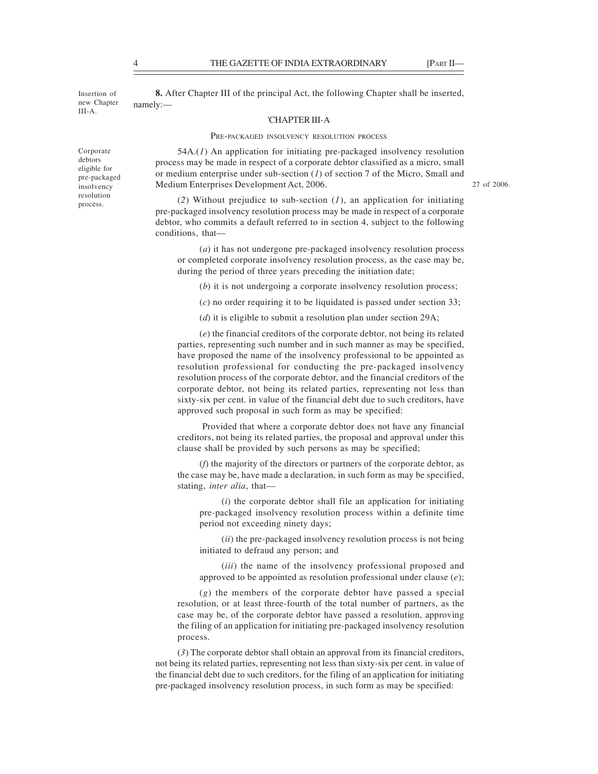8. After Chapter III of the principal Act, the following Chapter shall be inserted, Insertion of new Chapter namely:- $III-A$ 

process.

### 'CHAPTER III-A

namely:—

PRE-PACKAGED INSOLVENCY RESOLUTION PROCESS

54A.(1) An application for initiating pre-packaged insolvency resolution Corporate process may be made in respect of a corporate debtor classified as a micro, small debtors eligible for<br>
or medium enterprise under sub-section (1) of section 7 of the Micro, Small and Medium Enterprises Development Act, 2006. insolvency pre-packaged of the different cheer prise under sub

27 of 2006.

resolution (2) Without prejudice to sub-section (*1*), an application for initiating pre-packaged insolvency resolution process may be made in respect of a corporate debtor, who commits a default referred to in section 4, subject to the following conditions, that—

> (a) it has not undergone pre-packaged insolvency resolution process or completed corporate insolvency resolution process, as the case may be, during the period of three years preceding the initiation date;

(b) it is not undergoing a corporate insolvency resolution process;

 $(c)$  no order requiring it to be liquidated is passed under section 33;

(d) it is eligible to submit a resolution plan under section 29A;

(e) the financial creditors of the corporate debtor, not being its related parties, representing such number and in such manner as may be specified, have proposed the name of the insolvency professional to be appointed as resolution professional for conducting the pre-packaged insolvency resolution process of the corporate debtor, and the financial creditors of the corporate debtor, not being its related parties, representing not less than sixty-six per cent. in value of the financial debt due to such creditors, have approved such proposal in such form as may be specified:

 Provided that where a corporate debtor does not have any financial creditors, not being its related parties, the proposal and approval under this clause shall be provided by such persons as may be specified;

(f) the majority of the directors or partners of the corporate debtor, as the case may be, have made a declaration, in such form as may be specified, stating, *inter alia*, that-

 $(i)$  the corporate debtor shall file an application for initiating pre-packaged insolvency resolution process within a definite time period not exceeding ninety days;

(*ii*) the pre-packaged insolvency resolution process is not being initiated to defraud any person; and

(*iii*) the name of the insolvency professional proposed and approved to be appointed as resolution professional under clause  $(e)$ ;

(g) the members of the corporate debtor have passed a special resolution, or at least three-fourth of the total number of partners, as the case may be, of the corporate debtor have passed a resolution, approving the filing of an application for initiating pre-packaged insolvency resolution process.

(3) The corporate debtor shall obtain an approval from its financial creditors, not being its related parties, representing not less than sixty-six per cent. in value of the financial debt due to such creditors, for the filing of an application for initiating pre-packaged insolvency resolution process, in such form as may be specified: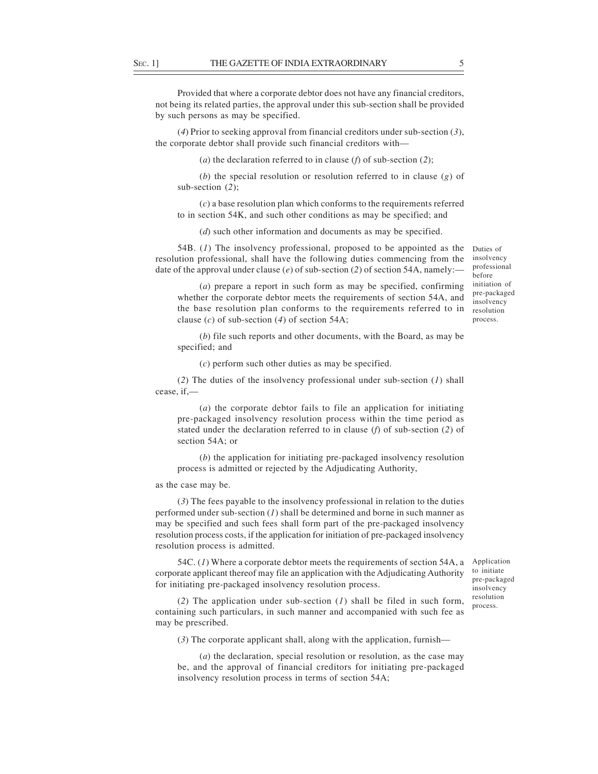SEC. 1] THE GAZETTE OF INDIA EXTRAORDINARY 5<br>Provided that where a corporate debtor does not have any financial creditors,<br>not being its related parties, the approval under this sub-section shall be provided<br>by such person Provided that where a corporate debtor does not have any financial creditors, not being its related parties, the approval under this sub-section shall be provided by such persons as may be specified.

(4) Prior to seeking approval from financial creditors under sub-section (3), the corporate debtor shall provide such financial creditors with—

(a) the declaration referred to in clause ( $f$ ) of sub-section (2);

(b) the special resolution or resolution referred to in clause  $(g)$  of sub-section (2);

 $(c)$  a base resolution plan which conforms to the requirements referred to in section 54K, and such other conditions as may be specified; and

(*d*) such other information and documents as may be specified.

54B. (1) The insolvency professional, proposed to be appointed as the resolution professional, shall have the following duties commencing from the date of the approval under clause (e) of sub-section (2) of section 54A, namely:— Duties of

insolvency professional before initiation of pre-packaged insolvency resolution process.

(a) prepare a report in such form as may be specified, confirming whether the corporate debtor meets the requirements of section 54A, and the base resolution plan conforms to the requirements referred to in clause  $(c)$  of sub-section  $(4)$  of section 54A;

(b) file such reports and other documents, with the Board, as may be specified; and

(c) perform such other duties as may be specified.

(2) The duties of the insolvency professional under sub-section (1) shall cease, if,—

(a) the corporate debtor fails to file an application for initiating pre-packaged insolvency resolution process within the time period as stated under the declaration referred to in clause  $(f)$  of sub-section  $(2)$  of section 54A; or

(b) the application for initiating pre-packaged insolvency resolution process is admitted or rejected by the Adjudicating Authority,

as the case may be.

(3) The fees payable to the insolvency professional in relation to the duties performed under sub-section  $(I)$  shall be determined and borne in such manner as may be specified and such fees shall form part of the pre-packaged insolvency resolution process costs, if the application for initiation of pre-packaged insolvency resolution process is admitted.

54C.  $(I)$  Where a corporate debtor meets the requirements of section 54A, a corporate applicant thereof may file an application with the Adjudicating Authority for initiating pre-packaged insolvency resolution process.

(2) The application under sub-section  $(I)$  shall be filed in such form, containing such particulars, in such manner and accompanied with such fee as may be prescribed.

(3) The corporate applicant shall, along with the application, furnish—

(a) the declaration, special resolution or resolution, as the case may be, and the approval of financial creditors for initiating pre-packaged insolvency resolution process in terms of section 54A;

to initiate pre-packaged insolvency resolution process.

Application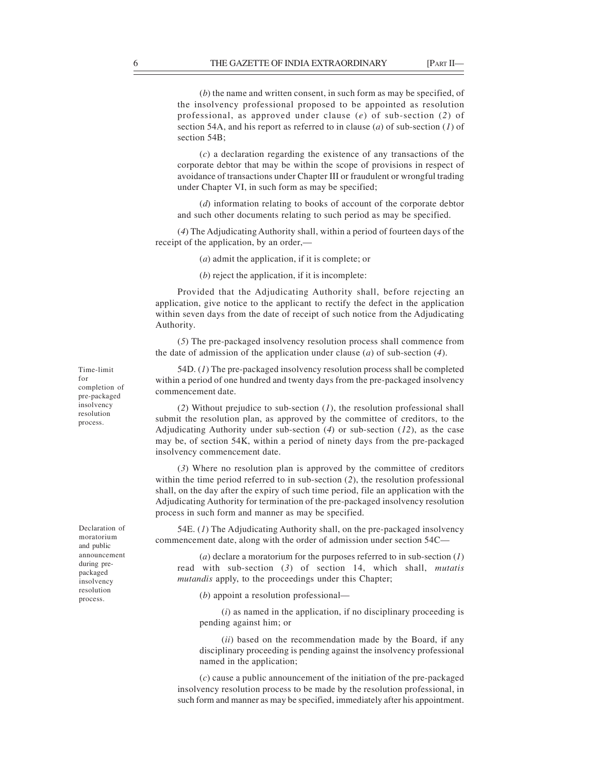**6** THE GAZETTE OF INDIA EXTRAORDINARY [PART II—1994]<br>
(b) the name and written consent, in such form as may be specified, of<br>
the insolvency professional proposed to be appointed as resolution<br>
professional, as a approve (b) the name and written consent, in such form as may be specified, of the insolvency professional proposed to be appointed as resolution professional, as approved under clause  $(e)$  of sub-section  $(2)$  of section 54A, and his report as referred to in clause  $(a)$  of sub-section  $(I)$  of section 54B;

 $(c)$  a declaration regarding the existence of any transactions of the corporate debtor that may be within the scope of provisions in respect of avoidance of transactions under Chapter III or fraudulent or wrongful trading under Chapter VI, in such form as may be specified;

(d) information relating to books of account of the corporate debtor and such other documents relating to such period as may be specified.

(4) The Adjudicating Authority shall, within a period of fourteen days of the receipt of the application, by an order,—

(a) admit the application, if it is complete; or

(b) reject the application, if it is incomplete:

Provided that the Adjudicating Authority shall, before rejecting an application, give notice to the applicant to rectify the defect in the application within seven days from the date of receipt of such notice from the Adjudicating Authority.

(5) The pre-packaged insolvency resolution process shall commence from the date of admission of the application under clause  $(a)$  of sub-section  $(4)$ .

54D. (1) The pre-packaged insolvency resolution process shall be completed within a period of one hundred and twenty days from the pre-packaged insolvency for commencement date.

 $(2)$  Without prejudice to sub-section  $(1)$ , the resolution professional shall  $s$ ubmit the resolution plan, as approved by the committee of creditors, to the Adjudicating Authority under sub-section  $(4)$  or sub-section  $(12)$ , as the case may be, of section 54K, within a period of ninety days from the pre-packaged insolvency commencement date.

> (3) Where no resolution plan is approved by the committee of creditors within the time period referred to in sub-section (2), the resolution professional shall, on the day after the expiry of such time period, file an application with the Adjudicating Authority for termination of the pre-packaged insolvency resolution process in such form and manner as may be specified.

Declaration of 54E. (1) The Adjudicating Authority shall, on the pre-packaged insolvency moratorium commencement date, along with the order of admission under section 54C—

(a) declare a moratorium for the purposes referred to in sub-section  $(I)$  $r_{\text{packaged}}$  read with sub-section (3) of section 14, which shall, *mutatis* insolvency mutandis apply, to the proceedings under this Chapter;

(b) appoint a resolution professional—

 $(i)$  as named in the application, if no disciplinary proceeding is pending against him; or

(ii) based on the recommendation made by the Board, if any disciplinary proceeding is pending against the insolvency professional named in the application;

(c) cause a public announcement of the initiation of the pre-packaged insolvency resolution process to be made by the resolution professional, in such form and manner as may be specified, immediately after his appointment.

Time-limit completion of pre-packaged process.

and public **commencement** date, are announcement during preresolution process.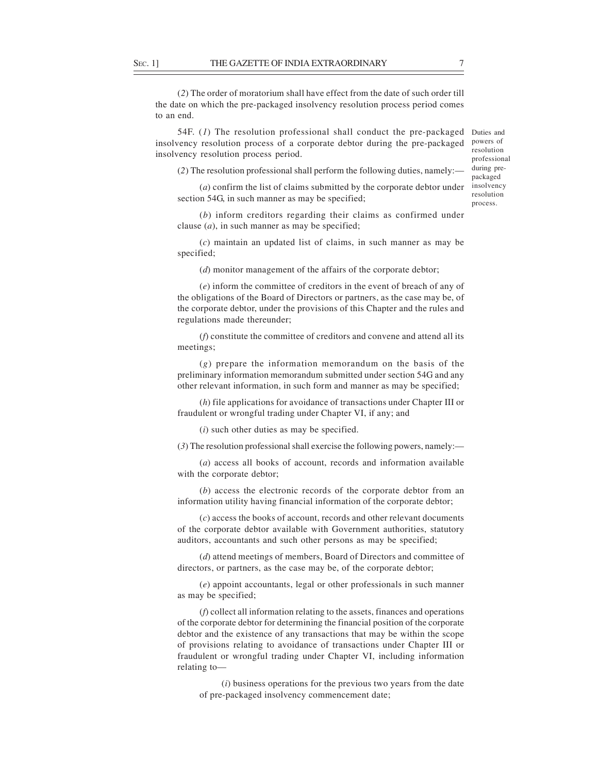SEC. 1] THE GAZETTE OF INDIA EXTRAORDINARY 7 7<br>
(2) The order of moratorium shall have effect from the date of such order till<br>
the date on which the pre-packaged insolvency resolution process period comes<br>
to an end. (2) The order of moratorium shall have effect from the date of such order till the date on which the pre-packaged insolvency resolution process period comes to an end.

54F. (1) The resolution professional shall conduct the pre-packaged insolvency resolution process of a corporate debtor during the pre-packaged insolvency resolution process period. Duties and powers of professional

(2) The resolution professional shall perform the following duties, namely:—

(a) confirm the list of claims submitted by the corporate debtor under section 54G, in such manner as may be specified;

(b) inform creditors regarding their claims as confirmed under clause  $(a)$ , in such manner as may be specified;

(c) maintain an updated list of claims, in such manner as may be specified;

(d) monitor management of the affairs of the corporate debtor;

(e) inform the committee of creditors in the event of breach of any of the obligations of the Board of Directors or partners, as the case may be, of the corporate debtor, under the provisions of this Chapter and the rules and regulations made thereunder;

(f) constitute the committee of creditors and convene and attend all its meetings;

 $(g)$  prepare the information memorandum on the basis of the preliminary information memorandum submitted under section 54G and any other relevant information, in such form and manner as may be specified;

(h) file applications for avoidance of transactions under Chapter III or fraudulent or wrongful trading under Chapter VI, if any; and

(i) such other duties as may be specified.

(3) The resolution professional shall exercise the following powers, namely:—

(a) access all books of account, records and information available with the corporate debtor;

(b) access the electronic records of the corporate debtor from an information utility having financial information of the corporate debtor;

(c) access the books of account, records and other relevant documents of the corporate debtor available with Government authorities, statutory auditors, accountants and such other persons as may be specified;

(d) attend meetings of members, Board of Directors and committee of directors, or partners, as the case may be, of the corporate debtor;

(e) appoint accountants, legal or other professionals in such manner as may be specified;

(f) collect all information relating to the assets, finances and operations of the corporate debtor for determining the financial position of the corporate debtor and the existence of any transactions that may be within the scope of provisions relating to avoidance of transactions under Chapter III or fraudulent or wrongful trading under Chapter VI, including information relating to—

 $(i)$  business operations for the previous two years from the date of pre-packaged insolvency commencement date;

resolution

during prepackaged insolvency resolution process.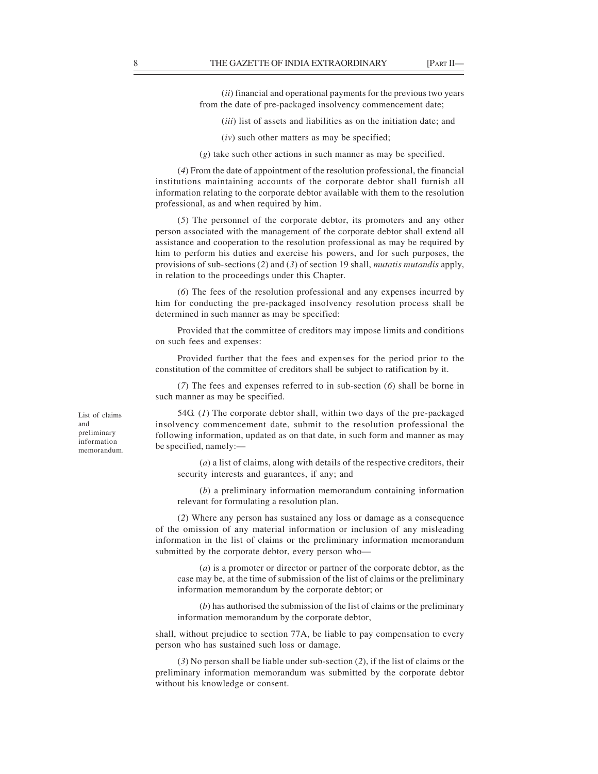8 THE GAZETTE OF INDIA EXTRAORDINARY [PART II—1994]<br>(ii) financial and operational payments for the previous two years<br>from the date of pre-packaged insolvency commencement date;<br>(iii) list of assets and liabilities as on (*ii*) financial and operational payments for the previous two years from the date of pre-packaged insolvency commencement date;

- (*iii*) list of assets and liabilities as on the initiation date; and
- $(iv)$  such other matters as may be specified;
- (g) take such other actions in such manner as may be specified.

(4) From the date of appointment of the resolution professional, the financial institutions maintaining accounts of the corporate debtor shall furnish all information relating to the corporate debtor available with them to the resolution professional, as and when required by him.

(5) The personnel of the corporate debtor, its promoters and any other person associated with the management of the corporate debtor shall extend all assistance and cooperation to the resolution professional as may be required by him to perform his duties and exercise his powers, and for such purposes, the provisions of sub-sections (2) and (3) of section 19 shall, *mutatis mutandis* apply, in relation to the proceedings under this Chapter.

(6) The fees of the resolution professional and any expenses incurred by him for conducting the pre-packaged insolvency resolution process shall be determined in such manner as may be specified:

Provided that the committee of creditors may impose limits and conditions on such fees and expenses:

Provided further that the fees and expenses for the period prior to the constitution of the committee of creditors shall be subject to ratification by it.

(7) The fees and expenses referred to in sub-section (6) shall be borne in such manner as may be specified.

List of claims 54G. (1) The corporate debtor shall, within two days of the pre-packaged insolvency commencement date, submit to the resolution professional the and following information, updated as on that date, in such form and manner as may preliminary information be specified, namely:—

> (a) a list of claims, along with details of the respective creditors, their security interests and guarantees, if any; and

> (b) a preliminary information memorandum containing information relevant for formulating a resolution plan.

(2) Where any person has sustained any loss or damage as a consequence of the omission of any material information or inclusion of any misleading information in the list of claims or the preliminary information memorandum submitted by the corporate debtor, every person who—

(a) is a promoter or director or partner of the corporate debtor, as the case may be, at the time of submission of the list of claims or the preliminary information memorandum by the corporate debtor; or

(b) has authorised the submission of the list of claims or the preliminary information memorandum by the corporate debtor,

shall, without prejudice to section 77A, be liable to pay compensation to every person who has sustained such loss or damage.

(3) No person shall be liable under sub-section (2), if the list of claims or the preliminary information memorandum was submitted by the corporate debtor without his knowledge or consent.

memorandum.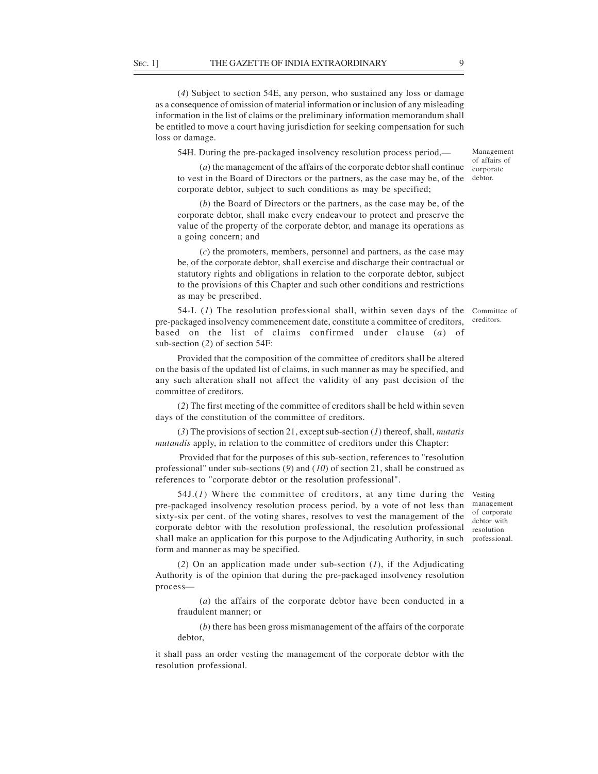SEC. 1] THE GAZETTE OF INDIA EXTRAORDINARY 9<br>
(4) Subject to section 54E, any person, who sustained any loss or damage<br>
as a consequence of omission of material information or inclusion of any misleading<br>
information in th (4) Subject to section 54E, any person, who sustained any loss or damage as a consequence of omission of material information or inclusion of any misleading information in the list of claims or the preliminary information memorandum shall be entitled to move a court having jurisdiction for seeking compensation for such loss or damage.

54H. During the pre-packaged insolvency resolution process period,—

(a) the management of the affairs of the corporate debtor shall continue to vest in the Board of Directors or the partners, as the case may be, of the corporate debtor, subject to such conditions as may be specified;

(b) the Board of Directors or the partners, as the case may be, of the corporate debtor, shall make every endeavour to protect and preserve the value of the property of the corporate debtor, and manage its operations as a going concern; and

 $(c)$  the promoters, members, personnel and partners, as the case may be, of the corporate debtor, shall exercise and discharge their contractual or statutory rights and obligations in relation to the corporate debtor, subject to the provisions of this Chapter and such other conditions and restrictions as may be prescribed.

54-I. (1) The resolution professional shall, within seven days of the Committee of pre-packaged insolvency commencement date, constitute a committee of creditors, based on the list of claims confirmed under clause  $(a)$  of sub-section (2) of section 54F:

Provided that the composition of the committee of creditors shall be altered on the basis of the updated list of claims, in such manner as may be specified, and any such alteration shall not affect the validity of any past decision of the committee of creditors.

(2) The first meeting of the committee of creditors shall be held within seven days of the constitution of the committee of creditors.

(3) The provisions of section 21, except sub-section  $(I)$  thereof, shall, *mutatis* mutandis apply, in relation to the committee of creditors under this Chapter:

 Provided that for the purposes of this sub-section, references to "resolution professional" under sub-sections  $(9)$  and  $(10)$  of section 21, shall be construed as references to "corporate debtor or the resolution professional".

 $54J(1)$  Where the committee of creditors, at any time during the pre-packaged insolvency resolution process period, by a vote of not less than sixty-six per cent. of the voting shares, resolves to vest the management of the corporate debtor with the resolution professional, the resolution professional shall make an application for this purpose to the Adjudicating Authority, in such professional.form and manner as may be specified.

(2) On an application made under sub-section  $(I)$ , if the Adjudicating Authority is of the opinion that during the pre-packaged insolvency resolution process—

(a) the affairs of the corporate debtor have been conducted in a fraudulent manner; or

(b) there has been gross mismanagement of the affairs of the corporate debtor,

it shall pass an order vesting the management of the corporate debtor with the resolution professional.

Vesting management of corporate debtor with resolution

Management of affairs of corporate debtor.

creditors.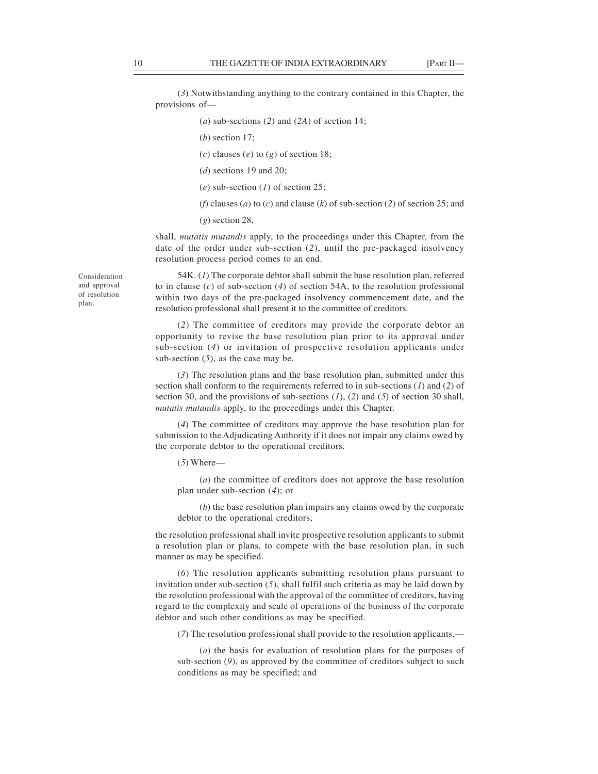THE GAZETTE OF INDIA EXTRAORDINARY [PART II—10]<br>
(3) Notwithstanding anything to the contrary contained in this Chapter, the<br>
provisions of—<br>
(a) sub-sections (2) and (2A) of section 14; (3) Notwithstanding anything to the contrary contained in this Chapter, the provisions of—

(a) sub-sections (2) and (2A) of section 14;

- (b) section 17;
- (c) clauses (e) to (g) of section 18;
- $(d)$  sections 19 and 20;
- (e) sub-section  $(1)$  of section 25;
- (f) clauses (a) to (c) and clause (k) of sub-section (2) of section 25; and
- (g) section 28,

shall, *mutatis mutandis* apply, to the proceedings under this Chapter, from the date of the order under sub-section (2), until the pre-packaged insolvency resolution process period comes to an end.

Consideration 54K. (1) The corporate debtor shall submit the base resolution plan, referred and approval to in clause  $(c)$  of sub-section  $(4)$  of section 54A, to the resolution professional within two days of the pre-packaged insolvency commencement date, and the of resolution resolution professional shall present it to the committee of creditors.

> (2) The committee of creditors may provide the corporate debtor an opportunity to revise the base resolution plan prior to its approval under sub-section (4) or invitation of prospective resolution applicants under sub-section  $(5)$ , as the case may be.

> (3) The resolution plans and the base resolution plan, submitted under this section shall conform to the requirements referred to in sub-sections  $(I)$  and  $(2)$  of section 30, and the provisions of sub-sections  $(1)$ ,  $(2)$  and  $(5)$  of section 30 shall, mutatis mutandis apply, to the proceedings under this Chapter.

> (4) The committee of creditors may approve the base resolution plan for submission to the Adjudicating Authority if it does not impair any claims owed by the corporate debtor to the operational creditors.

(5) Where—

(a) the committee of creditors does not approve the base resolution plan under sub-section (4); or

(b) the base resolution plan impairs any claims owed by the corporate debtor to the operational creditors,

the resolution professional shall invite prospective resolution applicants to submit a resolution plan or plans, to compete with the base resolution plan, in such manner as may be specified.

(6) The resolution applicants submitting resolution plans pursuant to invitation under sub-section  $(5)$ , shall fulfil such criteria as may be laid down by the resolution professional with the approval of the committee of creditors, having regard to the complexity and scale of operations of the business of the corporate debtor and such other conditions as may be specified.

(7) The resolution professional shall provide to the resolution applicants,—

(a) the basis for evaluation of resolution plans for the purposes of sub-section (9), as approved by the committee of creditors subject to such conditions as may be specified; and

plan.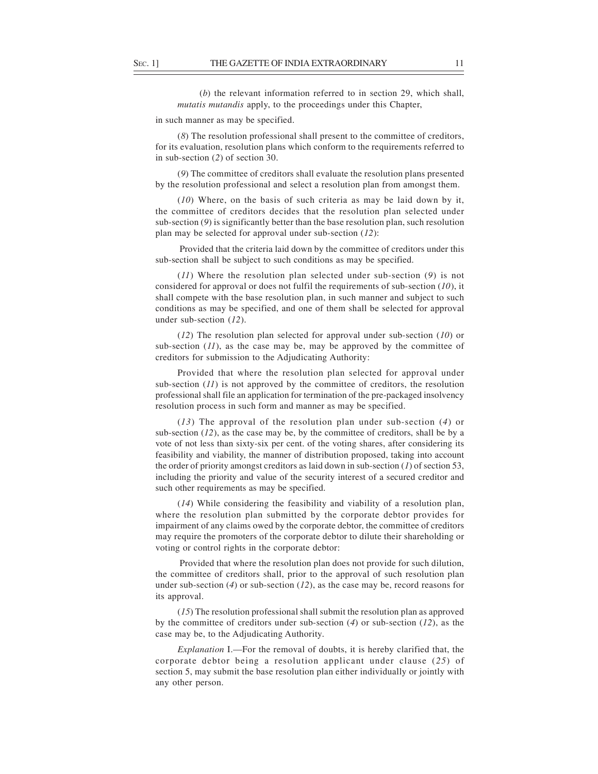SEC. 1] THE GAZETTE OF INDIA EXTRAORDINARY 11<br>
(b) the relevant information referred to in section 29, which shall,<br>
mutatis mutandis apply, to the proceedings under this Chapter,<br>
in such manner as may be specified. (b) the relevant information referred to in section 29, which shall, mutatis mutandis apply, to the proceedings under this Chapter,

in such manner as may be specified.

(8) The resolution professional shall present to the committee of creditors, for its evaluation, resolution plans which conform to the requirements referred to in sub-section (2) of section 30.

(9) The committee of creditors shall evaluate the resolution plans presented by the resolution professional and select a resolution plan from amongst them.

(10) Where, on the basis of such criteria as may be laid down by it, the committee of creditors decides that the resolution plan selected under sub-section (9) is significantly better than the base resolution plan, such resolution plan may be selected for approval under sub-section (12):

 Provided that the criteria laid down by the committee of creditors under this sub-section shall be subject to such conditions as may be specified.

(11) Where the resolution plan selected under sub-section (9) is not considered for approval or does not fulfil the requirements of sub-section  $(10)$ , it shall compete with the base resolution plan, in such manner and subject to such conditions as may be specified, and one of them shall be selected for approval under sub-section (12).

 $(12)$  The resolution plan selected for approval under sub-section  $(10)$  or sub-section  $(11)$ , as the case may be, may be approved by the committee of creditors for submission to the Adjudicating Authority:

Provided that where the resolution plan selected for approval under sub-section  $(11)$  is not approved by the committee of creditors, the resolution professional shall file an application for termination of the pre-packaged insolvency resolution process in such form and manner as may be specified.

(13) The approval of the resolution plan under sub-section (4) or sub-section  $(12)$ , as the case may be, by the committee of creditors, shall be by a vote of not less than sixty-six per cent. of the voting shares, after considering its feasibility and viability, the manner of distribution proposed, taking into account the order of priority amongst creditors as laid down in sub-section  $(1)$  of section 53, including the priority and value of the security interest of a secured creditor and such other requirements as may be specified.

(14) While considering the feasibility and viability of a resolution plan, where the resolution plan submitted by the corporate debtor provides for impairment of any claims owed by the corporate debtor, the committee of creditors may require the promoters of the corporate debtor to dilute their shareholding or voting or control rights in the corporate debtor:

 Provided that where the resolution plan does not provide for such dilution, the committee of creditors shall, prior to the approval of such resolution plan under sub-section  $(4)$  or sub-section  $(12)$ , as the case may be, record reasons for its approval.

(15) The resolution professional shall submit the resolution plan as approved by the committee of creditors under sub-section  $(4)$  or sub-section  $(12)$ , as the case may be, to the Adjudicating Authority.

Explanation I.—For the removal of doubts, it is hereby clarified that, the corporate debtor being a resolution applicant under clause (25) of section 5, may submit the base resolution plan either individually or jointly with any other person.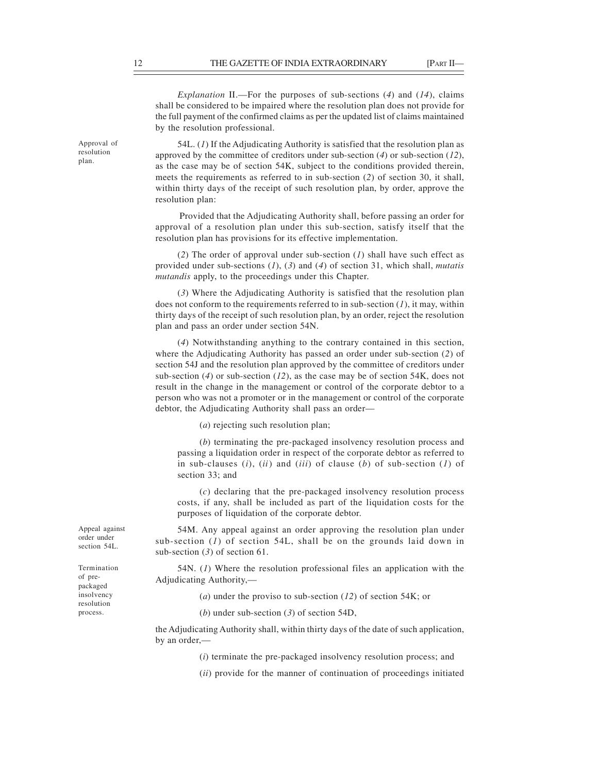THE GAZETTE OF INDIA EXTRAORDINARY [PART II—<br>
Explanation II.—For the purposes of sub-sections (4) and (14), claims<br>
shall be considered to be impaired where the resolution plan does not provide for<br>
the full payment of t Explanation II.—For the purposes of sub-sections  $(4)$  and  $(14)$ , claims shall be considered to be impaired where the resolution plan does not provide for the full payment of the confirmed claims as per the updated list of claims maintained by the resolution professional.

Approval of 54L. (1) If the Adjudicating Authority is satisfied that the resolution plan as approved by the committee of creditors under sub-section (4) or sub-section (12), resolution as the case may be of section 54K, subject to the conditions provided therein, meets the requirements as referred to in sub-section (2) of section 30, it shall, within thirty days of the receipt of such resolution plan, by order, approve the resolution plan:

> Provided that the Adjudicating Authority shall, before passing an order for approval of a resolution plan under this sub-section, satisfy itself that the resolution plan has provisions for its effective implementation.

> (2) The order of approval under sub-section  $(I)$  shall have such effect as provided under sub-sections  $(1)$ ,  $(3)$  and  $(4)$  of section 31, which shall, *mutatis* mutandis apply, to the proceedings under this Chapter.

> (3) Where the Adjudicating Authority is satisfied that the resolution plan does not conform to the requirements referred to in sub-section  $(I)$ , it may, within thirty days of the receipt of such resolution plan, by an order, reject the resolution plan and pass an order under section 54N.

> (4) Notwithstanding anything to the contrary contained in this section, where the Adjudicating Authority has passed an order under sub-section (2) of section 54J and the resolution plan approved by the committee of creditors under sub-section  $(4)$  or sub-section  $(12)$ , as the case may be of section 54K, does not result in the change in the management or control of the corporate debtor to a person who was not a promoter or in the management or control of the corporate debtor, the Adjudicating Authority shall pass an order—

> > (a) rejecting such resolution plan;

(b) terminating the pre-packaged insolvency resolution process and passing a liquidation order in respect of the corporate debtor as referred to in sub-clauses  $(i)$ ,  $(ii)$  and  $(iii)$  of clause  $(b)$  of sub-section  $(I)$  of section 33; and

(c) declaring that the pre-packaged insolvency resolution process costs, if any, shall be included as part of the liquidation costs for the purposes of liquidation of the corporate debtor.

54M. Any appeal against an order approving the resolution plan under order under  $\begin{array}{ll}\n\text{sub-section} (1) & \text{of section 54L, shall be on the grounds laid down in}\n\end{array}$ sub-section (3) of section 61.

54N. (1) Where the resolution professional files an application with the Termination Adjudicating Authority,—

insolvency (a) under the proviso to sub-section (12) of section 54K; or

(b) under sub-section (3) of section 54D,

the Adjudicating Authority shall, within thirty days of the date of such application, by an order,—

(i) terminate the pre-packaged insolvency resolution process; and

(ii) provide for the manner of continuation of proceedings initiated

Appeal against section 54L.

of prepackaged resolution process.

plan.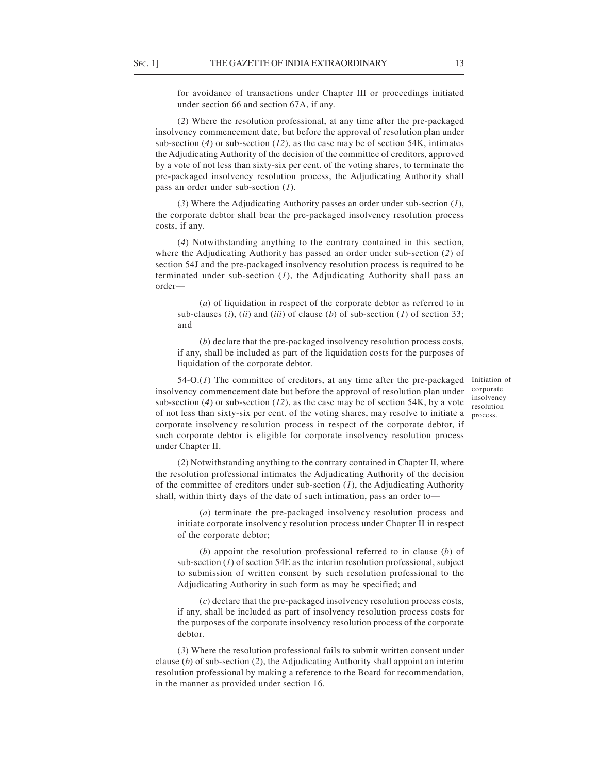(2) Where the resolution professional, at any time after the pre-packaged insolvency commencement date, but before the approval of resolution plan under sub-section  $(4)$  or sub-section  $(12)$ , as the case may be of section 54K, intimates the Adjudicating Authority of the decision of the committee of creditors, approved by a vote of not less than sixty-six per cent. of the voting shares, to terminate the pre-packaged insolvency resolution process, the Adjudicating Authority shall pass an order under sub-section (1).

(3) Where the Adjudicating Authority passes an order under sub-section (1), the corporate debtor shall bear the pre-packaged insolvency resolution process costs, if any.

(4) Notwithstanding anything to the contrary contained in this section, where the Adjudicating Authority has passed an order under sub-section (2) of section 54J and the pre-packaged insolvency resolution process is required to be terminated under sub-section  $(1)$ , the Adjudicating Authority shall pass an order—

(a) of liquidation in respect of the corporate debtor as referred to in sub-clauses  $(i)$ ,  $(ii)$  and  $(iii)$  of clause  $(b)$  of sub-section  $(1)$  of section 33; and

(b) declare that the pre-packaged insolvency resolution process costs, if any, shall be included as part of the liquidation costs for the purposes of liquidation of the corporate debtor.

 $54-O(1)$  The committee of creditors, at any time after the pre-packaged insolvency commencement date but before the approval of resolution plan under sub-section (4) or sub-section  $(12)$ , as the case may be of section 54K, by a vote of not less than sixty-six per cent. of the voting shares, may resolve to initiate a corporate insolvency resolution process in respect of the corporate debtor, if such corporate debtor is eligible for corporate insolvency resolution process under Chapter II.

Initiation of corporate insolvency resolution process.

(2) Notwithstanding anything to the contrary contained in Chapter II, where the resolution professional intimates the Adjudicating Authority of the decision of the committee of creditors under sub-section  $(1)$ , the Adjudicating Authority shall, within thirty days of the date of such intimation, pass an order to—

(a) terminate the pre-packaged insolvency resolution process and initiate corporate insolvency resolution process under Chapter II in respect of the corporate debtor;

(b) appoint the resolution professional referred to in clause (b) of sub-section  $(I)$  of section 54E as the interim resolution professional, subject to submission of written consent by such resolution professional to the Adjudicating Authority in such form as may be specified; and

(c) declare that the pre-packaged insolvency resolution process costs, if any, shall be included as part of insolvency resolution process costs for the purposes of the corporate insolvency resolution process of the corporate debtor.

(3) Where the resolution professional fails to submit written consent under clause  $(b)$  of sub-section  $(2)$ , the Adjudicating Authority shall appoint an interim resolution professional by making a reference to the Board for recommendation, in the manner as provided under section 16.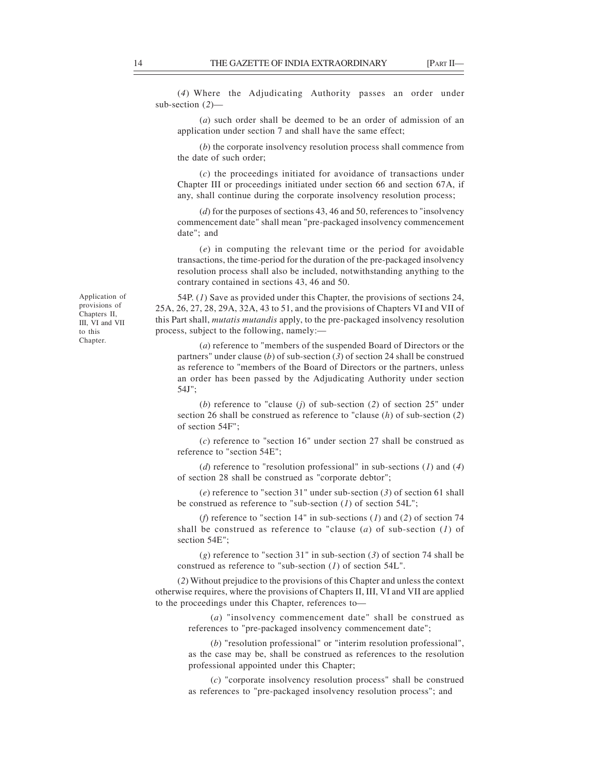THE GAZETTE OF INDIA EXTRAORDINARY [PART II—19]<br>
(4) Where the Adjudicating Authority passes an order under<br>
sub-section (2)—<br>
(a) such order shall be deemed to be an order of admission of an (4) Where the Adjudicating Authority passes an order under sub-section (2)—

(a) such order shall be deemed to be an order of admission of an application under section 7 and shall have the same effect;

(b) the corporate insolvency resolution process shall commence from the date of such order;

(c) the proceedings initiated for avoidance of transactions under Chapter III or proceedings initiated under section 66 and section 67A, if any, shall continue during the corporate insolvency resolution process;

(d) for the purposes of sections 43, 46 and 50, references to "insolvency commencement date" shall mean "pre-packaged insolvency commencement date"; and

(e) in computing the relevant time or the period for avoidable transactions, the time-period for the duration of the pre-packaged insolvency resolution process shall also be included, notwithstanding anything to the contrary contained in sections 43, 46 and 50.

Application of 54P. (1) Save as provided under this Chapter, the provisions of sections 24, provisions of 25A, 26, 27, 28, 29A, 32A, 43 to 51, and the provisions of Chapters VI and VII of this Part shall, *mutatis mutandis* apply, to the pre-packaged insolvency resolution process, subject to the following, namely:— to this

> (a) reference to "members of the suspended Board of Directors or the partners" under clause (b) of sub-section (3) of section 24 shall be construed as reference to "members of the Board of Directors or the partners, unless an order has been passed by the Adjudicating Authority under section 54J";

> (b) reference to "clause (j) of sub-section (2) of section  $25$ " under section 26 shall be construed as reference to "clause  $(h)$  of sub-section  $(2)$ of section 54F";

> (c) reference to "section 16" under section 27 shall be construed as reference to "section 54E";

> (d) reference to "resolution professional" in sub-sections (1) and (4) of section 28 shall be construed as "corporate debtor";

> (e) reference to "section 31" under sub-section (3) of section 61 shall be construed as reference to "sub-section  $(I)$  of section 54L";

> (*f*) reference to "section 14" in sub-sections (*I*) and (2) of section 74 shall be construed as reference to "clause  $(a)$  of sub-section  $(I)$  of section 54E":

> $(g)$  reference to "section 31" in sub-section (3) of section 74 shall be construed as reference to "sub-section  $(I)$  of section 54L".

(2) Without prejudice to the provisions of this Chapter and unless the context otherwise requires, where the provisions of Chapters II, III, VI and VII are applied to the proceedings under this Chapter, references to—

(a) "insolvency commencement date" shall be construed as references to "pre-packaged insolvency commencement date";

(b) "resolution professional" or "interim resolution professional", as the case may be, shall be construed as references to the resolution professional appointed under this Chapter;

(c) "corporate insolvency resolution process" shall be construed as references to "pre-packaged insolvency resolution process"; and

Chapters II, III, VI and VII Chapter.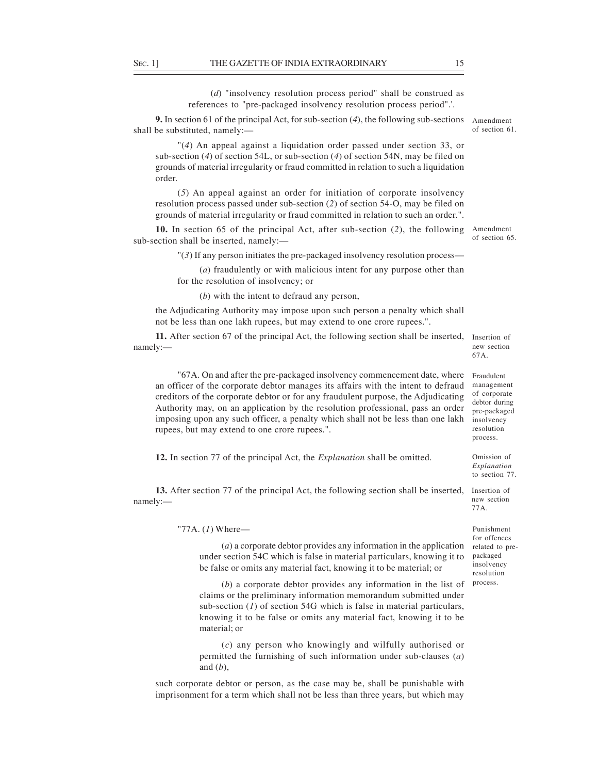SEC. 1] THE GAZETTE OF INDIA EXTRAORDINARY 15<br>
(d) "insolvency resolution process period" shall be construed as<br>
references to "pre-packaged insolvency resolution process period".'<br>
9. In section 61 of the principal Act, f (d) "insolvency resolution process period" shall be construed as references to "pre-packaged insolvency resolution process period".'.

9. In section 61 of the principal Act, for sub-section (4), the following sub-sections Amendment shall be substituted, namely: of section 61.

"(4) An appeal against a liquidation order passed under section 33, or sub-section (4) of section 54L, or sub-section (4) of section 54N, may be filed on grounds of material irregularity or fraud committed in relation to such a liquidation order.

(5) An appeal against an order for initiation of corporate insolvency resolution process passed under sub-section (2) of section 54-O, may be filed on grounds of material irregularity or fraud committed in relation to such an order.".

10. In section 65 of the principal Act, after sub-section (2), the following Amendment sub-section shall be inserted, namely:—

"(3) If any person initiates the pre-packaged insolvency resolution process—

(a) fraudulently or with malicious intent for any purpose other than for the resolution of insolvency; or

(b) with the intent to defraud any person,

the Adjudicating Authority may impose upon such person a penalty which shall not be less than one lakh rupees, but may extend to one crore rupees.".

11. After section 67 of the principal Act, the following section shall be inserted, Insertion of namely:— when the contract of the contract of the contract of the contract of the contract of the contract of the contract of the contract of the contract of the contract of the contract of the contract of the contract of

"67A. On and after the pre-packaged insolvency commencement date, where an officer of the corporate debtor manages its affairs with the intent to defraud creditors of the corporate debtor or for any fraudulent purpose, the Adjudicating Authority may, on an application by the resolution professional, pass an order imposing upon any such officer, a penalty which shall not be less than one lakh rupees, but may extend to one crore rupees.".

12. In section 77 of the principal Act, the *Explanation* shall be omitted.

13. After section 77 of the principal Act, the following section shall be inserted, namely:— when the contract of the contract of the contract of the contract of the contract of the contract of the contract of the contract of the contract of the contract of the contract of the contract of the contract of

"77A. (1) Where—

(a) a corporate debtor provides any information in the application related to preunder section 54C which is false in material particulars, knowing it to be false or omits any material fact, knowing it to be material; or

(b) a corporate debtor provides any information in the list of claims or the preliminary information memorandum submitted under sub-section  $(I)$  of section 54G which is false in material particulars, knowing it to be false or omits any material fact, knowing it to be material; or

(c) any person who knowingly and wilfully authorised or permitted the furnishing of such information under sub-clauses (a) and  $(b)$ ,

such corporate debtor or person, as the case may be, shall be punishable with imprisonment for a term which shall not be less than three years, but which may

new section 67A.

of section 65.

Fraudulent management of corporate debtor during pre-packaged insolvency resolution process.

Omission of Explanation to section 77.

Insertion of new section 77A.

Punishment for offences packaged insolvency resolution process.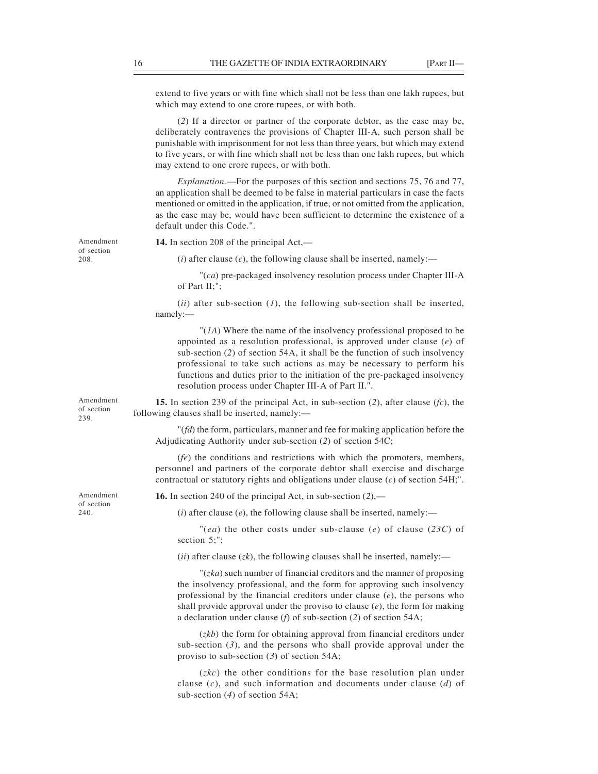THE GAZETTE OF INDIA EXTRAORDINARY [PART II—<br>
extend to five years or with fine which shall not be less than one lakh rupees, but<br>
which may extend to one crore rupees, or with both.<br>
(2) If a director or partner of the co extend to five years or with fine which shall not be less than one lakh rupees, but which may extend to one crore rupees, or with both.

(2) If a director or partner of the corporate debtor, as the case may be, deliberately contravenes the provisions of Chapter III-A, such person shall be punishable with imprisonment for not less than three years, but which may extend to five years, or with fine which shall not be less than one lakh rupees, but which may extend to one crore rupees, or with both.

Explanation.—For the purposes of this section and sections 75, 76 and 77, an application shall be deemed to be false in material particulars in case the facts mentioned or omitted in the application, if true, or not omitted from the application, as the case may be, would have been sufficient to determine the existence of a default under this Code.".

of section 208.

Amendment **14.** In section 208 of the principal Act,—

(i) after clause  $(c)$ , the following clause shall be inserted, namely:—

 $\Gamma$  (*ca*) pre-packaged insolvency resolution process under Chapter III-A of Part II;";

(ii) after sub-section  $(I)$ , the following sub-section shall be inserted, namely:—

 $\Gamma$ (*IA*) Where the name of the insolvency professional proposed to be appointed as a resolution professional, is approved under clause (e) of sub-section (2) of section 54A, it shall be the function of such insolvency professional to take such actions as may be necessary to perform his functions and duties prior to the initiation of the pre-packaged insolvency resolution process under Chapter III-A of Part II.".

Amendment **15.** In section 239 of the principal Act, in sub-section (2), after clause  $f(c)$ , the of section following clauses shall be inserted, namely:—  $239.$   $1010 \text{w m}$ 

> $\Gamma$  (*fd*) the form, particulars, manner and fee for making application before the Adjudicating Authority under sub-section (2) of section 54C;

> (fe) the conditions and restrictions with which the promoters, members, personnel and partners of the corporate debtor shall exercise and discharge contractual or statutory rights and obligations under clause  $(c)$  of section 54H;".

of section 240.

Amendment **16.** In section 240 of the principal Act, in sub-section  $(2)$ ,—

(i) after clause (e), the following clause shall be inserted, namely:—

 $''(ea)$  the other costs under sub-clause (e) of clause (23C) of section 5:":

(*ii*) after clause (*zk*), the following clauses shall be inserted, namely:—

 $\Gamma(zka)$  such number of financial creditors and the manner of proposing the insolvency professional, and the form for approving such insolvency professional by the financial creditors under clause  $(e)$ , the persons who shall provide approval under the proviso to clause  $(e)$ , the form for making a declaration under clause (f) of sub-section (2) of section 54A;

(zkb) the form for obtaining approval from financial creditors under sub-section  $(3)$ , and the persons who shall provide approval under the proviso to sub-section (3) of section 54A;

 $(zkc)$  the other conditions for the base resolution plan under clause  $(c)$ , and such information and documents under clause  $(d)$  of sub-section (4) of section 54A;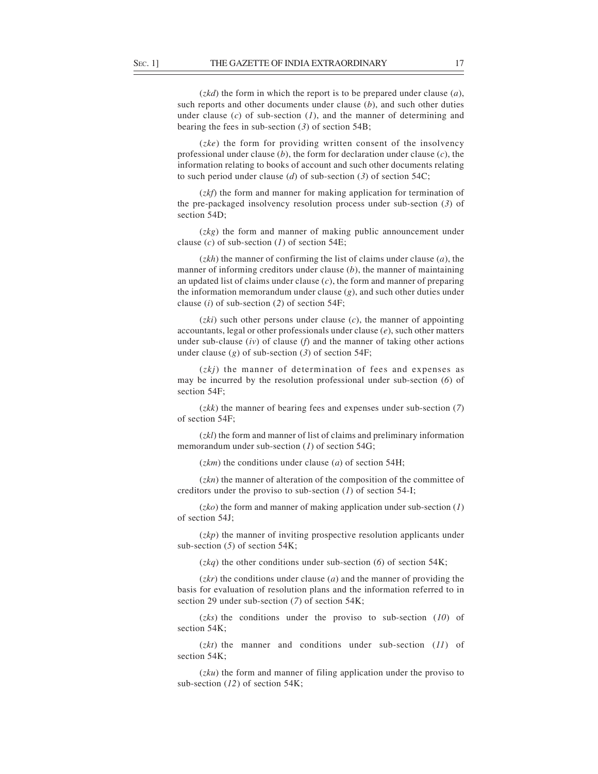SEC. 1] THE GAZETTE OF INDIA EXTRAORDINARY 17<br>
(*zkd*) the form in which the report is to be prepared under clause (*a*),<br>
such reports and other documents under clause (*b*), and such other duties<br>
under clause (*c*) of  $(zkd)$  the form in which the report is to be prepared under clause  $(a)$ , such reports and other documents under clause  $(b)$ , and such other duties under clause  $(c)$  of sub-section  $(1)$ , and the manner of determining and bearing the fees in sub-section  $(3)$  of section 54B;

 $(zke)$  the form for providing written consent of the insolvency professional under clause  $(b)$ , the form for declaration under clause  $(c)$ , the information relating to books of account and such other documents relating to such period under clause (d) of sub-section (3) of section 54C;

(*zkf*) the form and manner for making application for termination of the pre-packaged insolvency resolution process under sub-section (3) of section 54D;

(zkg) the form and manner of making public announcement under clause  $(c)$  of sub-section  $(I)$  of section 54E;

 $(zkh)$  the manner of confirming the list of claims under clause  $(a)$ , the manner of informing creditors under clause  $(b)$ , the manner of maintaining an updated list of claims under clause  $(c)$ , the form and manner of preparing the information memorandum under clause  $(g)$ , and such other duties under clause (i) of sub-section (2) of section  $54F$ ;

 $(zki)$  such other persons under clause  $(c)$ , the manner of appointing accountants, legal or other professionals under clause  $(e)$ , such other matters under sub-clause  $(iv)$  of clause  $(f)$  and the manner of taking other actions under clause  $(g)$  of sub-section  $(3)$  of section 54F;

 $(zkj)$  the manner of determination of fees and expenses as may be incurred by the resolution professional under sub-section (6) of section 54F;

 $(zkk)$  the manner of bearing fees and expenses under sub-section (7) of section 54F;

(zkl) the form and manner of list of claims and preliminary information memorandum under sub-section  $(I)$  of section 54G;

 $(zkm)$  the conditions under clause (*a*) of section 54H;

 $(zkn)$  the manner of alteration of the composition of the committee of creditors under the proviso to sub-section  $(I)$  of section 54-I;

 $(zko)$  the form and manner of making application under sub-section  $(1)$ of section 54J;

 $(zkp)$  the manner of inviting prospective resolution applicants under sub-section (5) of section 54K;

 $(zkq)$  the other conditions under sub-section (6) of section 54K;

 $(zkr)$  the conditions under clause (*a*) and the manner of providing the basis for evaluation of resolution plans and the information referred to in section 29 under sub-section (7) of section 54K;

 $(zks)$  the conditions under the proviso to sub-section  $(10)$  of section 54K;

 $(zkt)$  the manner and conditions under sub-section  $(11)$  of section 54K;

(zku) the form and manner of filing application under the proviso to sub-section (12) of section 54K;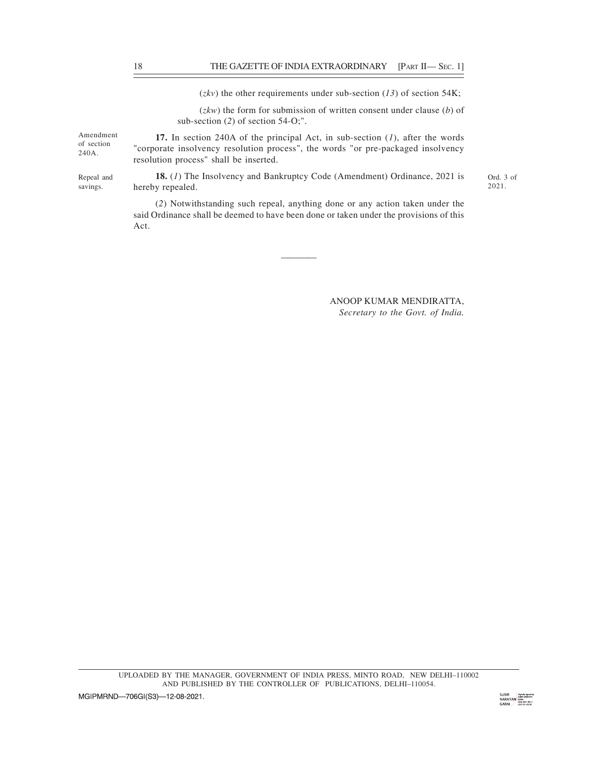(zkv) the other requirements under sub-section (13) of section 54K;

 $(zkw)$  the form for submission of written consent under clause  $(b)$  of sub-section (2) of section 54-O;". 18 THE GAZETTE OF INDIA EXTRAORDINARY [PART II— SEC. 1]<br>
(zkv) the other requirements under sub-section (13) of section 54K;<br>
(zkw) the form for submission of written consent under clause (b) of<br>
sub-section (2) of sectio

Amendment 17. In section 240A of the principal Act, in sub-section (1), after the words  $\frac{1}{240A}$  "corporate insolvency resolution process", the words "or pre-packaged insolvency" resolution process" shall be inserted.  $240A.$  Corporate

Repeal and **18.** (1) The Insolvency and Bankruptcy Code (Amendment) Ordinance, 2021 is Ord. 3 of savings. hereby repealed.

Ord. 3 of 2021.

and the contract of the contract of the contract of the contract of the contract of the contract of the contra<br>And the contract of the contract of the contract of the contract of the contract of the contract of the contra

(2) Notwithstanding such repeal, anything done or any action taken under the said Ordinance shall be deemed to have been done or taken under the provisions of this Act.

> ANOOP KUMAR MENDIRATTA, Secretary to the Govt. of India.

UPLOADED BY THE MANAGER, GOVERNMENT OF INDIA PRESS, MINTO ROAD, NEW DELHI–110002 AND PUBLISHED BY THE CONTROLLER OF PUBLICATIONS, DELHI–110054.